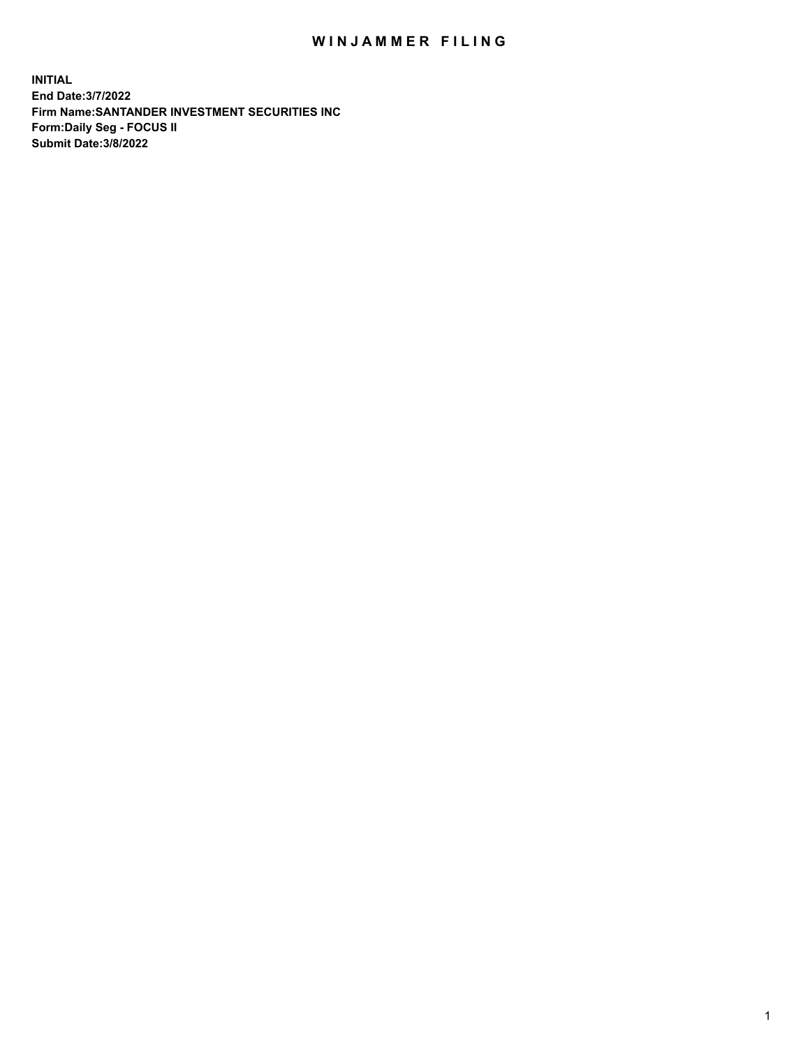## WIN JAMMER FILING

**INITIAL End Date:3/7/2022 Firm Name:SANTANDER INVESTMENT SECURITIES INC Form:Daily Seg - FOCUS II Submit Date:3/8/2022**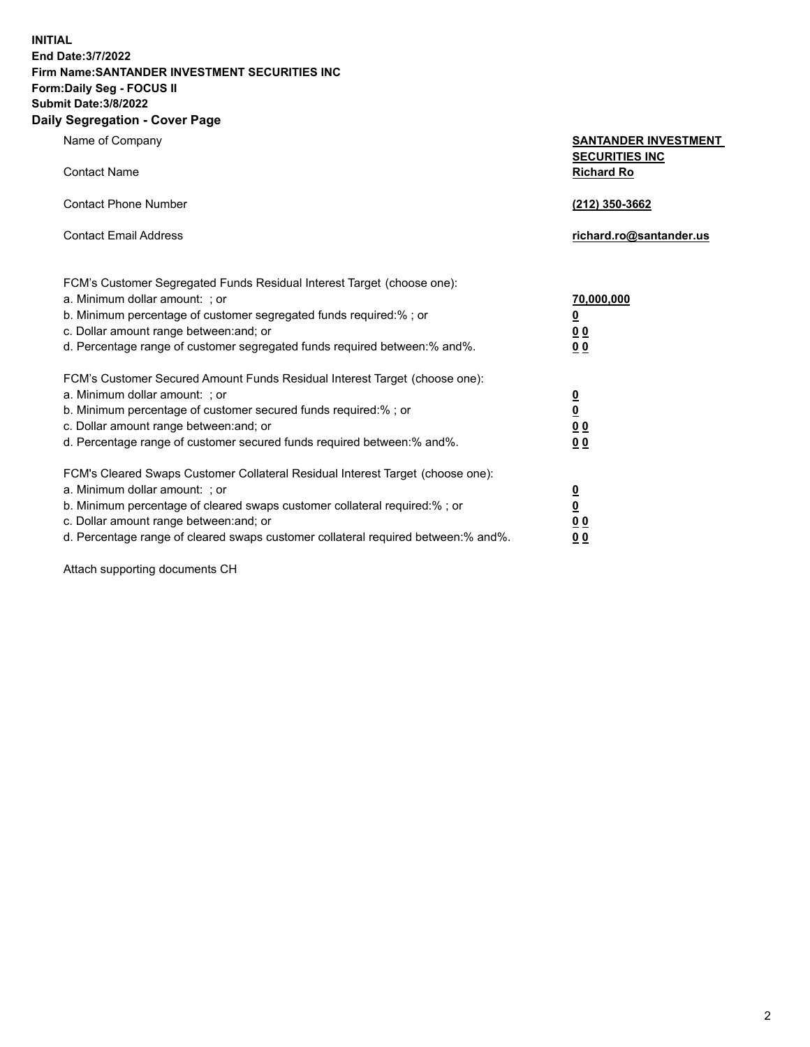**INITIAL End Date:3/7/2022 Firm Name:SANTANDER INVESTMENT SECURITIES INC Form:Daily Seg - FOCUS II Submit Date:3/8/2022 Daily Segregation - Cover Page**

| Name of Company                                                                                          | <b>SANTANDER INVESTMENT</b>                |
|----------------------------------------------------------------------------------------------------------|--------------------------------------------|
| <b>Contact Name</b>                                                                                      | <b>SECURITIES INC</b><br><b>Richard Ro</b> |
| <b>Contact Phone Number</b>                                                                              | (212) 350-3662                             |
| <b>Contact Email Address</b>                                                                             | richard.ro@santander.us                    |
|                                                                                                          |                                            |
| FCM's Customer Segregated Funds Residual Interest Target (choose one):<br>a. Minimum dollar amount: ; or | 70,000,000                                 |
| b. Minimum percentage of customer segregated funds required:% ; or                                       | $\overline{\mathbf{0}}$                    |
| c. Dollar amount range between: and; or                                                                  | 0 <sub>0</sub>                             |
| d. Percentage range of customer segregated funds required between:% and%.                                | 0 <sub>0</sub>                             |
| FCM's Customer Secured Amount Funds Residual Interest Target (choose one):                               |                                            |
| a. Minimum dollar amount: ; or                                                                           | $\frac{0}{0}$                              |
| b. Minimum percentage of customer secured funds required:%; or                                           |                                            |
| c. Dollar amount range between: and; or                                                                  | 0 <sub>0</sub>                             |
| d. Percentage range of customer secured funds required between: % and %.                                 | 0 <sub>0</sub>                             |
| FCM's Cleared Swaps Customer Collateral Residual Interest Target (choose one):                           |                                            |
| a. Minimum dollar amount: ; or                                                                           | $\overline{\mathbf{0}}$                    |
| b. Minimum percentage of cleared swaps customer collateral required:% ; or                               | $\underline{\mathbf{0}}$                   |
| c. Dollar amount range between: and; or                                                                  | 0 <sub>0</sub>                             |
| d. Percentage range of cleared swaps customer collateral required between:% and%.                        | <u>00</u>                                  |

Attach supporting documents CH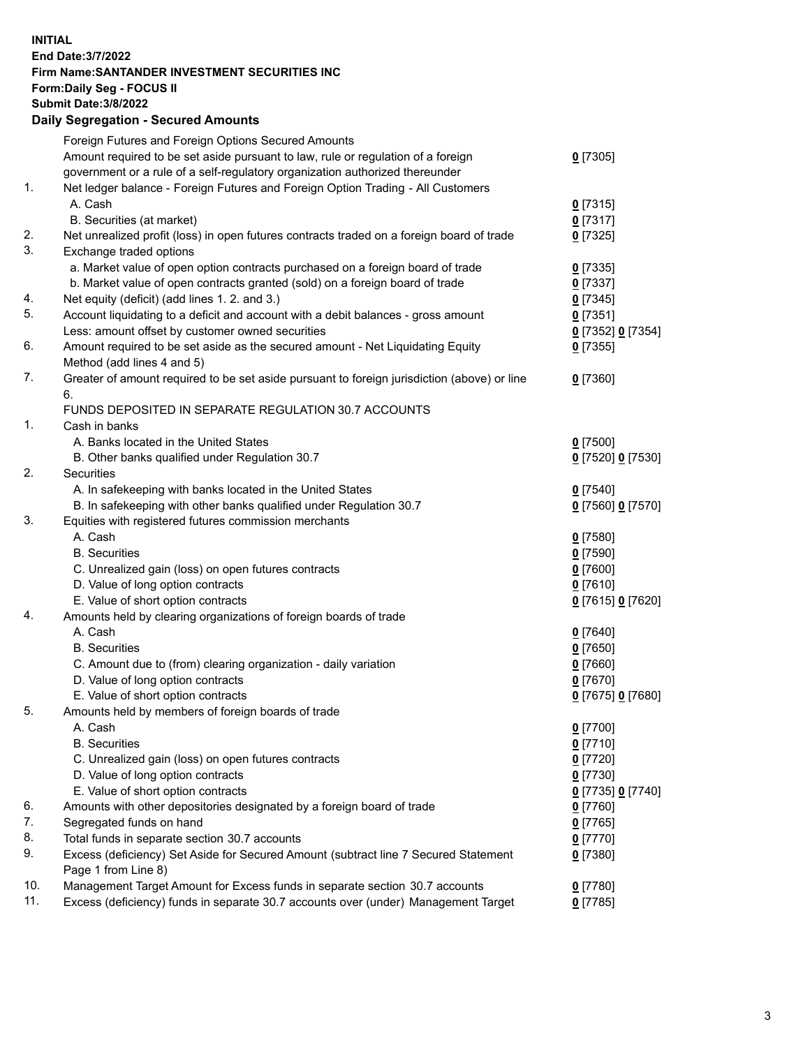## **INITIAL End Date:3/7/2022 Firm Name:SANTANDER INVESTMENT SECURITIES INC Form:Daily Seg - FOCUS II Submit Date:3/8/2022 Daily Segregation - Secured Amounts** Foreign Futures and Foreign Options Secured Amounts Amount required to be set aside pursuant to law, rule or regulation of a foreign government or a rule of a self-regulatory organization authorized thereunder 1. Net ledger balance - Foreign Futures and Foreign Option Trading - All Customers A. Cash **0** [7315] B. Securities (at market) **0** [7317] 2. Net unrealized profit (loss) in open futures contracts traded on a foreign board of trade **0** [7325] 3. Exchange traded options a. Market value of open option contracts purchased on a foreign board of trade **0** [7335] b. Market value of open contracts granted (sold) on a foreign board of trade **0** [7337] 4. Net equity (deficit) (add lines 1. 2. and 3.) **0** [7345] 5. Account liquidating to a deficit and account with a debit balances - gross amount **0** [7351] Less: amount offset by customer owned securities **0** [7352] **0** [7354] 6. Amount required to be set aside as the secured amount - Net Liquidating Equity Method (add lines 4 and 5) 7. Greater of amount required to be set aside pursuant to foreign jurisdiction (above) or line 6. FUNDS DEPOSITED IN SEPARATE REGULATION 30.7 ACCOUNTS 1. Cash in banks A. Banks located in the United States **0** [7500] B. Other banks qualified under Regulation 30.7 **0** [7520] **0** [7530] 2. Securities

 A. In safekeeping with banks located in the United States **0** [7540] B. In safekeeping with other banks qualified under Regulation 30.7 **0** [7560] **0** [7570] 3. Equities with registered futures commission merchants A. Cash **0** [7580] B. Securities **0** [7590] C. Unrealized gain (loss) on open futures contracts **0** [7600] D. Value of long option contracts **0** [7610] E. Value of short option contracts **0** [7615] **0** [7620] 4. Amounts held by clearing organizations of foreign boards of trade A. Cash **0** [7640] B. Securities **0** [7650] C. Amount due to (from) clearing organization - daily variation **0** [7660] D. Value of long option contracts **0** [7670] E. Value of short option contracts **0** [7675] **0** [7680] 5. Amounts held by members of foreign boards of trade A. Cash **0** [7700] B. Securities **0** [7710] C. Unrealized gain (loss) on open futures contracts **0** [7720] D. Value of long option contracts **0** [7730] E. Value of short option contracts **0** [7735] **0** [7740] 6. Amounts with other depositories designated by a foreign board of trade **0** [7760] 7. Segregated funds on hand **0** [7765] 8. Total funds in separate section 30.7 accounts **0** [7770] 9. Excess (deficiency) Set Aside for Secured Amount (subtract line 7 Secured Statement Page 1 from Line 8) **0** [7380] 10. Management Target Amount for Excess funds in separate section 30.7 accounts **0** [7780] 11. Excess (deficiency) funds in separate 30.7 accounts over (under) Management Target **0** [7785]

**0** [7305]

**0** [7355]

**0** [7360]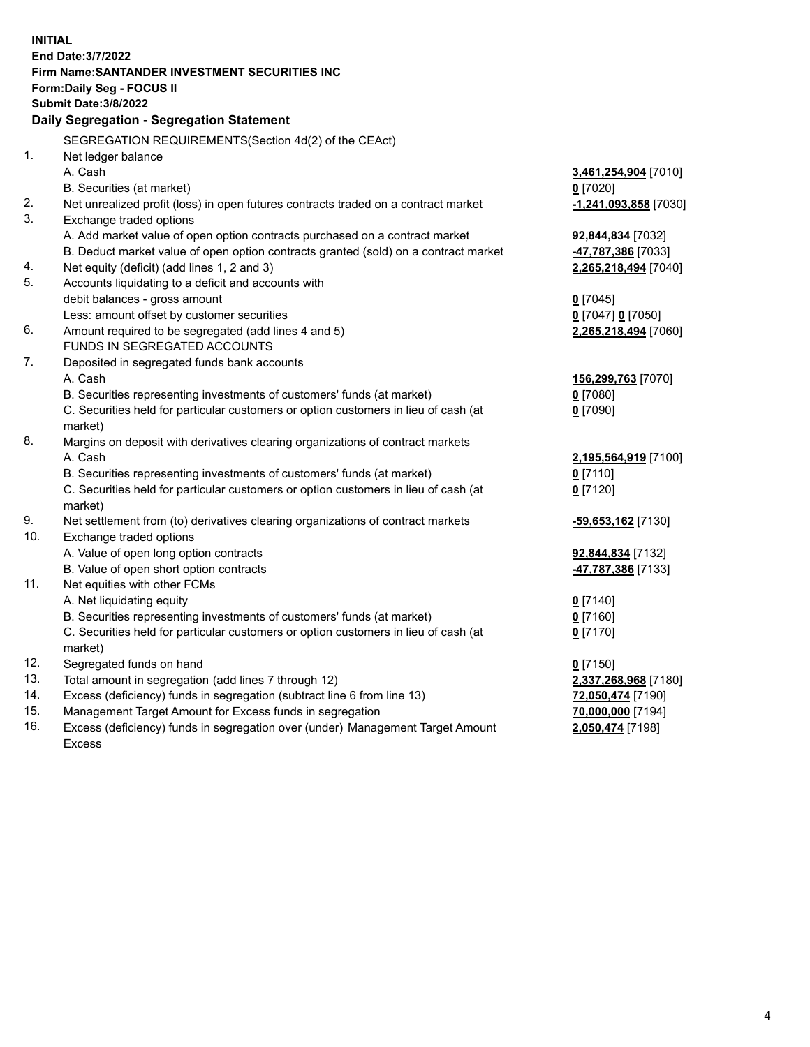| <b>INITIAL</b> | End Date: 3/7/2022<br><b>Firm Name: SANTANDER INVESTMENT SECURITIES INC</b>                |                       |
|----------------|--------------------------------------------------------------------------------------------|-----------------------|
|                | Form: Daily Seg - FOCUS II                                                                 |                       |
|                | <b>Submit Date: 3/8/2022</b>                                                               |                       |
|                | Daily Segregation - Segregation Statement                                                  |                       |
|                | SEGREGATION REQUIREMENTS(Section 4d(2) of the CEAct)                                       |                       |
| 1.             | Net ledger balance                                                                         |                       |
|                | A. Cash                                                                                    | 3,461,254,904 [7010]  |
|                | B. Securities (at market)                                                                  | $0$ [7020]            |
| 2.             | Net unrealized profit (loss) in open futures contracts traded on a contract market         | -1,241,093,858 [7030] |
| 3.             | Exchange traded options                                                                    |                       |
|                | A. Add market value of open option contracts purchased on a contract market                | 92,844,834 [7032]     |
|                | B. Deduct market value of open option contracts granted (sold) on a contract market        | 47,787,386 [7033]     |
| 4.             | Net equity (deficit) (add lines 1, 2 and 3)                                                | 2,265,218,494 [7040]  |
| 5.             | Accounts liquidating to a deficit and accounts with                                        |                       |
|                | debit balances - gross amount                                                              | $0$ [7045]            |
|                | Less: amount offset by customer securities                                                 | 0 [7047] 0 [7050]     |
| 6.             | Amount required to be segregated (add lines 4 and 5)                                       | 2,265,218,494 [7060]  |
|                | FUNDS IN SEGREGATED ACCOUNTS                                                               |                       |
| 7.             | Deposited in segregated funds bank accounts                                                |                       |
|                | A. Cash                                                                                    | 156,299,763 [7070]    |
|                | B. Securities representing investments of customers' funds (at market)                     | $0$ [7080]            |
|                | C. Securities held for particular customers or option customers in lieu of cash (at        | $0$ [7090]            |
|                | market)                                                                                    |                       |
| 8.             | Margins on deposit with derivatives clearing organizations of contract markets             |                       |
|                | A. Cash                                                                                    | 2,195,564,919 [7100]  |
|                | B. Securities representing investments of customers' funds (at market)                     | $0$ [7110]            |
|                | C. Securities held for particular customers or option customers in lieu of cash (at        | $0$ [7120]            |
| 9.             | market)<br>Net settlement from (to) derivatives clearing organizations of contract markets |                       |
| 10.            | Exchange traded options                                                                    | -59,653,162 [7130]    |
|                | A. Value of open long option contracts                                                     | 92,844,834 [7132]     |
|                | B. Value of open short option contracts                                                    | 47,787,386 [7133]     |
| 11.            | Net equities with other FCMs                                                               |                       |
|                | A. Net liquidating equity                                                                  | $0$ [7140]            |
|                | B. Securities representing investments of customers' funds (at market)                     | $0$ [7160]            |
|                | C. Securities held for particular customers or option customers in lieu of cash (at        | $0$ [7170]            |
|                | market)                                                                                    |                       |
| 12.            | Segregated funds on hand                                                                   | $0$ [7150]            |
| 13.            | Total amount in segregation (add lines 7 through 12)                                       | 2,337,268,968 [7180]  |
| 14.            | Excess (deficiency) funds in segregation (subtract line 6 from line 13)                    | 72,050,474 [7190]     |
| 15.            | Management Target Amount for Excess funds in segregation                                   | 70,000,000 [7194]     |
| 16.            | Excess (deficiency) funds in segregation over (under) Management Target Amount             | 2,050,474 [7198]      |
|                | <b>Excess</b>                                                                              |                       |